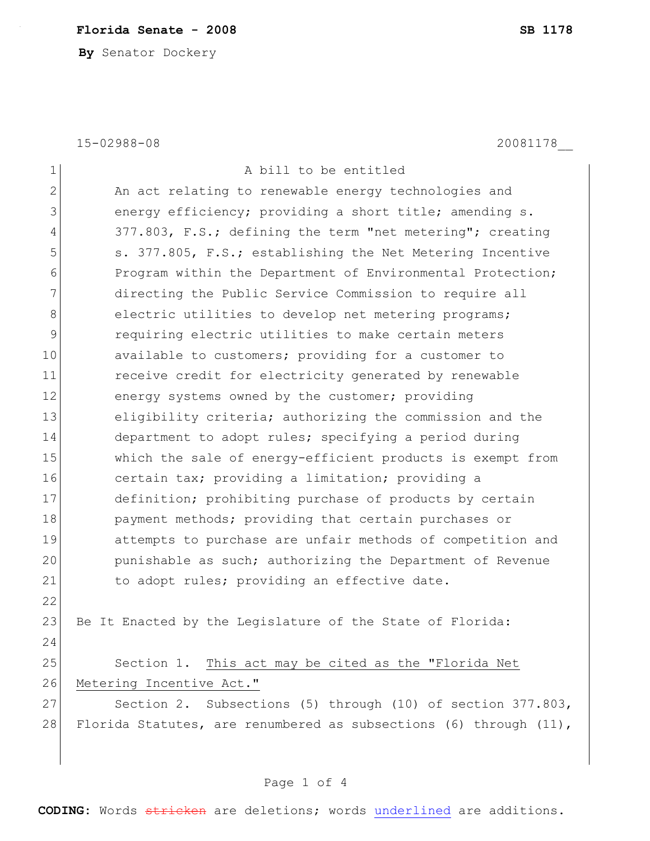## **Florida Senate - 2008 SB 1178**

**By** Senator Dockery

15-02988-08 20081178\_\_

| $\mathbf 1$    | A bill to be entitled                                             |  |  |
|----------------|-------------------------------------------------------------------|--|--|
| $\overline{2}$ | An act relating to renewable energy technologies and              |  |  |
| 3              | energy efficiency; providing a short title; amending s.           |  |  |
| 4              | 377.803, F.S.; defining the term "net metering"; creating         |  |  |
| 5              | s. 377.805, F.S.; establishing the Net Metering Incentive         |  |  |
| 6              | Program within the Department of Environmental Protection;        |  |  |
| 7              | directing the Public Service Commission to require all            |  |  |
| 8              | electric utilities to develop net metering programs;              |  |  |
| 9              | requiring electric utilities to make certain meters               |  |  |
| 10             | available to customers; providing for a customer to               |  |  |
| 11             | receive credit for electricity generated by renewable             |  |  |
| 12             | energy systems owned by the customer; providing                   |  |  |
| 13             | eligibility criteria; authorizing the commission and the          |  |  |
| 14             | department to adopt rules; specifying a period during             |  |  |
| 15             | which the sale of energy-efficient products is exempt from        |  |  |
| 16             | certain tax; providing a limitation; providing a                  |  |  |
| 17             | definition; prohibiting purchase of products by certain           |  |  |
| 18             | payment methods; providing that certain purchases or              |  |  |
| 19             | attempts to purchase are unfair methods of competition and        |  |  |
| 20             | punishable as such; authorizing the Department of Revenue         |  |  |
| 21             | to adopt rules; providing an effective date.                      |  |  |
| 22             |                                                                   |  |  |
| 23             | Be It Enacted by the Legislature of the State of Florida:         |  |  |
| 24             |                                                                   |  |  |
| 25             | Section 1. This act may be cited as the "Florida Net              |  |  |
| 26             | Metering Incentive Act."                                          |  |  |
| 27             | Section 2. Subsections (5) through (10) of section 377.803,       |  |  |
| 28             | Florida Statutes, are renumbered as subsections (6) through (11), |  |  |
|                |                                                                   |  |  |
|                |                                                                   |  |  |

**CODING:** Words stricken are deletions; words underlined are additions.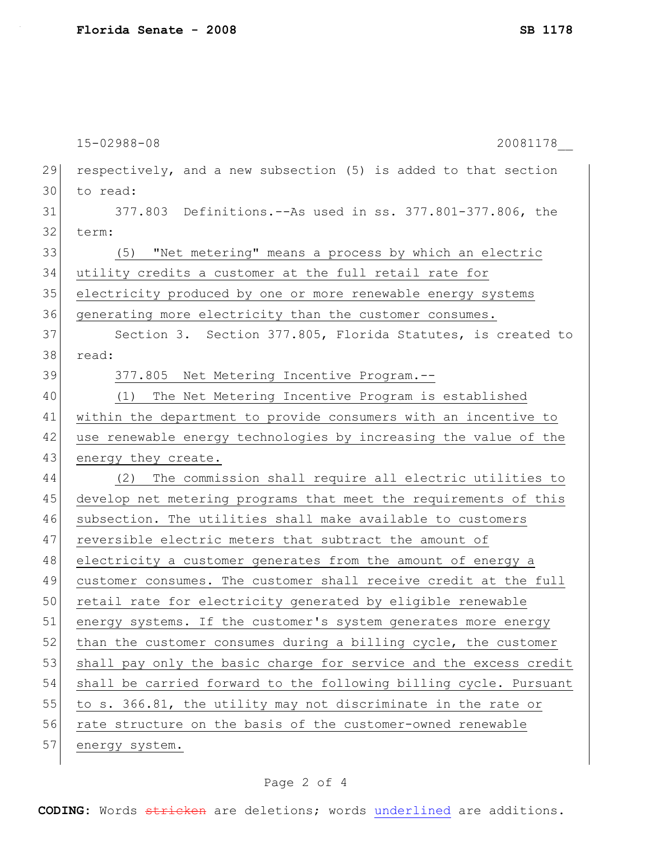15-02988-08 20081178\_\_ 29 respectively, and a new subsection (5) is added to that section 30 to read: 31 377.803 Definitions.--As used in ss. 377.801-377.806, the 32 term: 33 (5) "Net metering" means a process by which an electric 34 utility credits a customer at the full retail rate for 35 electricity produced by one or more renewable energy systems 36 generating more electricity than the customer consumes. 37 Section 3. Section 377.805, Florida Statutes, is created to 38 read: 39 377.805 Net Metering Incentive Program.--40 (1) The Net Metering Incentive Program is established 41 within the department to provide consumers with an incentive to 42 use renewable energy technologies by increasing the value of the 43 energy they create. 44 (2) The commission shall require all electric utilities to 45 develop net metering programs that meet the requirements of this 46 subsection. The utilities shall make available to customers 47 reversible electric meters that subtract the amount of 48 electricity a customer generates from the amount of energy a 49 customer consumes. The customer shall receive credit at the full 50 retail rate for electricity generated by eligible renewable 51 energy systems. If the customer's system generates more energy  $52$  than the customer consumes during a billing cycle, the customer 53 shall pay only the basic charge for service and the excess credit 54 shall be carried forward to the following billing cycle. Pursuant 55 to s. 366.81, the utility may not discriminate in the rate or 56 rate structure on the basis of the customer-owned renewable 57 energy system.

## Page 2 of 4

**CODING:** Words stricken are deletions; words underlined are additions.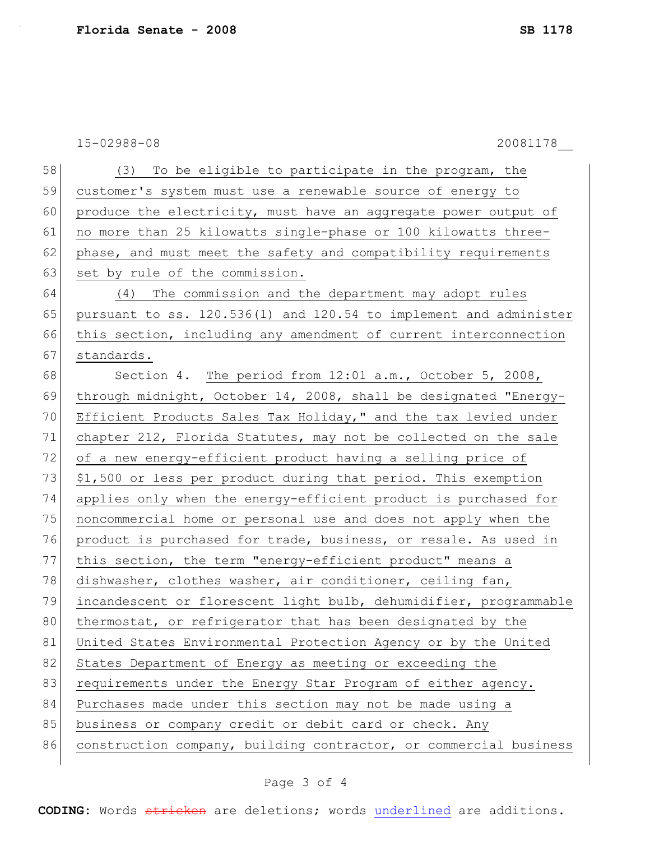15-02988-08 20081178\_\_

| 58 | (3) To be eligible to participate in the program, the             |  |  |  |
|----|-------------------------------------------------------------------|--|--|--|
| 59 | customer's system must use a renewable source of energy to        |  |  |  |
| 60 | produce the electricity, must have an aggregate power output of   |  |  |  |
| 61 | no more than 25 kilowatts single-phase or 100 kilowatts three-    |  |  |  |
| 62 | phase, and must meet the safety and compatibility requirements    |  |  |  |
| 63 | set by rule of the commission.                                    |  |  |  |
| 64 | (4) The commission and the department may adopt rules             |  |  |  |
| 65 | pursuant to ss. 120.536(1) and 120.54 to implement and administer |  |  |  |
| 66 | this section, including any amendment of current interconnection  |  |  |  |
| 67 | standards.                                                        |  |  |  |
| 68 | Section 4. The period from 12:01 a.m., October 5, 2008,           |  |  |  |
| 69 | through midnight, October 14, 2008, shall be designated "Energy-  |  |  |  |
| 70 | Efficient Products Sales Tax Holiday," and the tax levied under   |  |  |  |
| 71 | chapter 212, Florida Statutes, may not be collected on the sale   |  |  |  |
| 72 | of a new energy-efficient product having a selling price of       |  |  |  |
| 73 | \$1,500 or less per product during that period. This exemption    |  |  |  |
| 74 | applies only when the energy-efficient product is purchased for   |  |  |  |
| 75 | noncommercial home or personal use and does not apply when the    |  |  |  |
| 76 | product is purchased for trade, business, or resale. As used in   |  |  |  |
| 77 | this section, the term "energy-efficient product" means a         |  |  |  |
| 78 | dishwasher, clothes washer, air conditioner, ceiling fan,         |  |  |  |
| 79 | incandescent or florescent light bulb, dehumidifier, programmable |  |  |  |
| 80 | thermostat, or refrigerator that has been designated by the       |  |  |  |
| 81 | United States Environmental Protection Agency or by the United    |  |  |  |
| 82 | States Department of Energy as meeting or exceeding the           |  |  |  |
| 83 | requirements under the Energy Star Program of either agency.      |  |  |  |
| 84 | Purchases made under this section may not be made using a         |  |  |  |
| 85 | business or company credit or debit card or check. Any            |  |  |  |
| 86 | construction company, building contractor, or commercial business |  |  |  |

## Page 3 of 4

**CODING:** Words stricken are deletions; words underlined are additions.